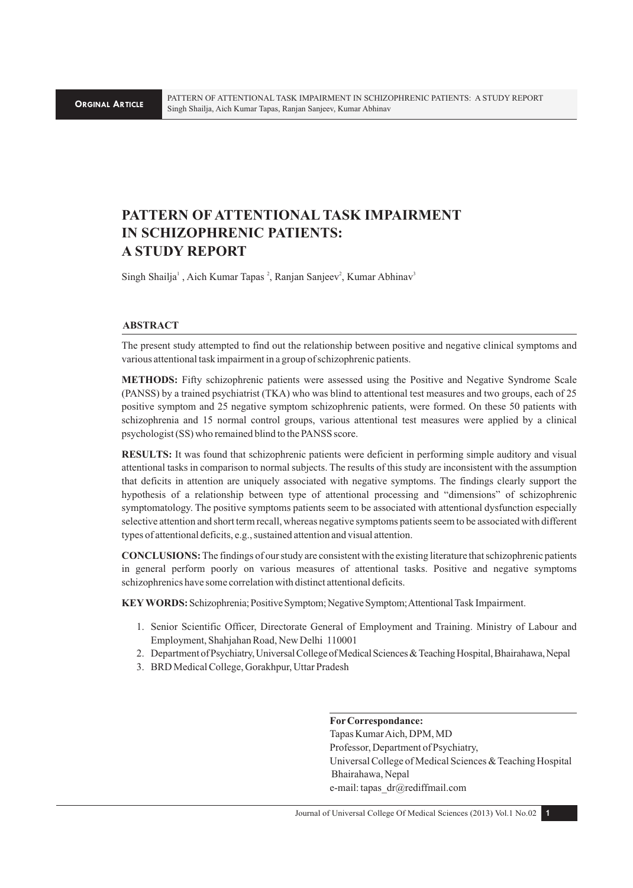# **PATTERN OF ATTENTIONAL TASK IMPAIRMENT IN SCHIZOPHRENIC PATIENTS: A STUDY REPORT**

Singh Shailja<sup>1</sup>, Aich Kumar Tapas<sup>2</sup>, Ranjan Sanjeev<sup>2</sup>, Kumar Abhinav<sup>3</sup>

## **ABSTRACT**

The present study attempted to find out the relationship between positive and negative clinical symptoms and various attentional task impairment in a group of schizophrenic patients.

**METHODS:** Fifty schizophrenic patients were assessed using the Positive and Negative Syndrome Scale (PANSS) by a trained psychiatrist (TKA) who was blind to attentional test measures and two groups, each of 25 positive symptom and 25 negative symptom schizophrenic patients, were formed. On these 50 patients with schizophrenia and 15 normal control groups, various attentional test measures were applied by a clinical psychologist (SS) who remained blind to the PANSS score.

**RESULTS:** It was found that schizophrenic patients were deficient in performing simple auditory and visual attentional tasks in comparison to normal subjects. The results of this study are inconsistent with the assumption that deficits in attention are uniquely associated with negative symptoms. The findings clearly support the hypothesis of a relationship between type of attentional processing and "dimensions" of schizophrenic symptomatology. The positive symptoms patients seem to be associated with attentional dysfunction especially selective attention and short term recall, whereas negative symptoms patients seem to be associated with different types of attentional deficits, e.g., sustained attention and visual attention.

**CONCLUSIONS:** The findings of our study are consistent with the existing literature that schizophrenic patients in general perform poorly on various measures of attentional tasks. Positive and negative symptoms schizophrenics have some correlation with distinct attentional deficits.

**KEY WORDS:** Schizophrenia; Positive Symptom; Negative Symptom; Attentional Task Impairment.

- 1. Senior Scientific Officer, Directorate General of Employment and Training. Ministry of Labour and Employment, Shahjahan Road, New Delhi 110001
- 2. Department of Psychiatry, Universal College of Medical Sciences & Teaching Hospital, Bhairahawa, Nepal
- 3. BRD Medical College, Gorakhpur, Uttar Pradesh

**For Correspondance:**  Tapas Kumar Aich, DPM, MD Professor, Department of Psychiatry, Universal College of Medical Sciences & Teaching Hospital Bhairahawa, Nepal e-mail: tapas\_dr@rediffmail.com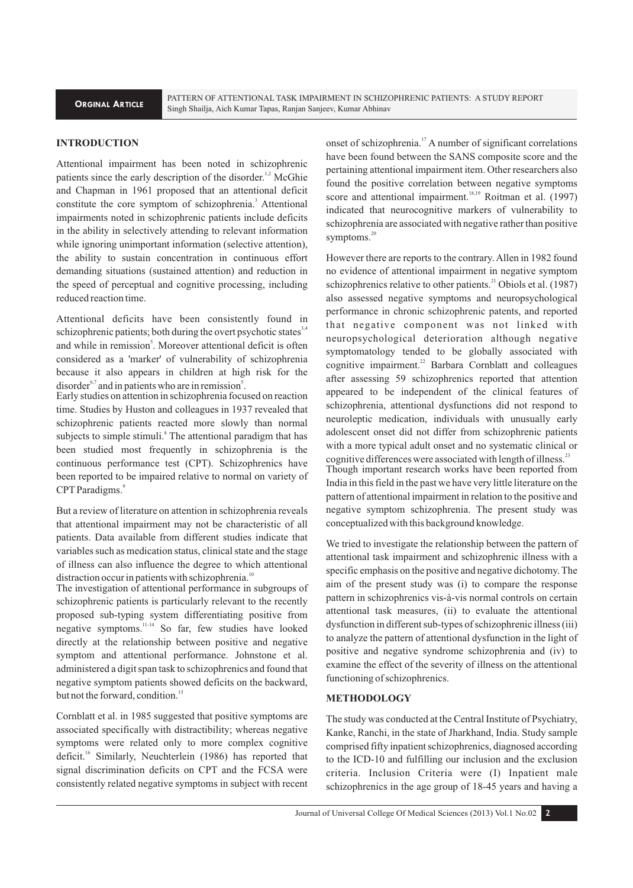# **INTRODUCTION**

Attentional impairment has been noted in schizophrenic patients since the early description of the disorder.<sup> $1,2$ </sup> McGhie and Chapman in 1961 proposed that an attentional deficit constitute the core symptom of schizophrenia.<sup>3</sup> Attentional impairments noted in schizophrenic patients include deficits in the ability in selectively attending to relevant information while ignoring unimportant information (selective attention), the ability to sustain concentration in continuous effort demanding situations (sustained attention) and reduction in the speed of perceptual and cognitive processing, including reduced reaction time.

Attentional deficits have been consistently found in schizophrenic patients; both during the overt psychotic states  $3,4$ and while in remission<sup>5</sup>. Moreover attentional deficit is often considered as a 'marker' of vulnerability of schizophrenia because it also appears in children at high risk for the disorder $6,7$  and in patients who are in remission<sup>5</sup>.

Early studies on attention in schizophrenia focused on reaction time. Studies by Huston and colleagues in 1937 revealed that schizophrenic patients reacted more slowly than normal subjects to simple stimuli.<sup>8</sup> The attentional paradigm that has been studied most frequently in schizophrenia is the continuous performance test (CPT). Schizophrenics have been reported to be impaired relative to normal on variety of CPT Paradigms.<sup>9</sup>

But a review of literature on attention in schizophrenia reveals that attentional impairment may not be characteristic of all patients. Data available from different studies indicate that variables such as medication status, clinical state and the stage of illness can also influence the degree to which attentional distraction occur in patients with schizophrenia.<sup>10</sup>

The investigation of attentional performance in subgroups of schizophrenic patients is particularly relevant to the recently proposed sub-typing system differentiating positive from negative symptoms.<sup>11-14</sup> So far, few studies have looked directly at the relationship between positive and negative symptom and attentional performance. Johnstone et al. administered a digit span task to schizophrenics and found that negative symptom patients showed deficits on the backward, but not the forward, condition.<sup>15</sup>

Cornblatt et al. in 1985 suggested that positive symptoms are associated specifically with distractibility; whereas negative symptoms were related only to more complex cognitive deficit.<sup>16</sup> Similarly, Neuchterlein (1986) has reported that signal discrimination deficits on CPT and the FCSA were consistently related negative symptoms in subject with recent

onset of schizophrenia.<sup>17</sup> A number of significant correlations have been found between the SANS composite score and the pertaining attentional impairment item. Other researchers also found the positive correlation between negative symptoms score and attentional impairment.  $18,19$  Roitman et al. (1997) indicated that neurocognitive markers of vulnerability to schizophrenia are associated with negative rather than positive symptoms.<sup>20</sup>

However there are reports to the contrary. Allen in 1982 found no evidence of attentional impairment in negative symptom schizophrenics relative to other patients. $^{21}$  Obiols et al. (1987) also assessed negative symptoms and neuropsychological performance in chronic schizophrenic patents, and reported that negative component was not linked with neuropsychological deterioration although negative symptomatology tended to be globally associated with cognitive impairment. $^{22}$  Barbara Cornblatt and colleagues after assessing 59 schizophrenics reported that attention appeared to be independent of the clinical features of schizophrenia, attentional dysfunctions did not respond to neuroleptic medication, individuals with unusually early adolescent onset did not differ from schizophrenic patients with a more typical adult onset and no systematic clinical or cognitive differences were associated with length of illness.<sup>23</sup> Though important research works have been reported from India in this field in the past we have very little literature on the pattern of attentional impairment in relation to the positive and negative symptom schizophrenia. The present study was conceptualized with this background knowledge.

We tried to investigate the relationship between the pattern of attentional task impairment and schizophrenic illness with a specific emphasis on the positive and negative dichotomy. The aim of the present study was (i) to compare the response pattern in schizophrenics vis-à-vis normal controls on certain attentional task measures, (ii) to evaluate the attentional dysfunction in different sub-types of schizophrenic illness (iii) to analyze the pattern of attentional dysfunction in the light of positive and negative syndrome schizophrenia and (iv) to examine the effect of the severity of illness on the attentional functioning of schizophrenics.

## **METHODOLOGY**

The study was conducted at the Central Institute of Psychiatry, Kanke, Ranchi, in the state of Jharkhand, India. Study sample comprised fifty inpatient schizophrenics, diagnosed according to the ICD-10 and fulfilling our inclusion and the exclusion criteria. Inclusion Criteria were (I) Inpatient male schizophrenics in the age group of 18-45 years and having a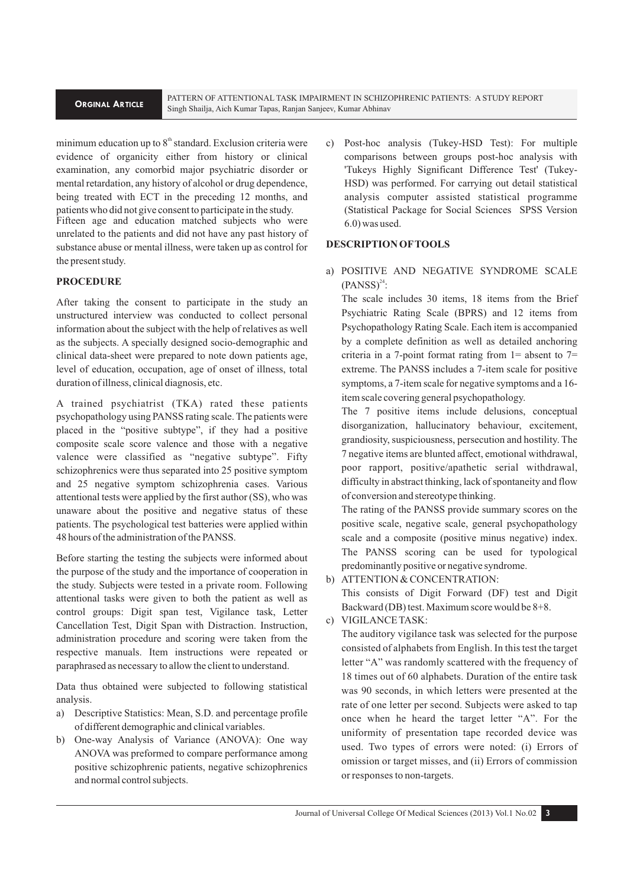PATTERN OF ATTENTIONAL TASK IMPAIRMENT IN SCHIZOPHRENIC PATIENTS: A STUDY REPORT Singh Shailja, Aich Kumar Tapas, Ranjan Sanjeev, Kumar Abhinav

minimum education up to  $8<sup>th</sup>$  standard. Exclusion criteria were evidence of organicity either from history or clinical examination, any comorbid major psychiatric disorder or mental retardation, any history of alcohol or drug dependence, being treated with ECT in the preceding 12 months, and patients who did not give consent to participate in the study.

Fifteen age and education matched subjects who were unrelated to the patients and did not have any past history of substance abuse or mental illness, were taken up as control for the present study.

# **PROCEDURE**

After taking the consent to participate in the study an unstructured interview was conducted to collect personal information about the subject with the help of relatives as well as the subjects. A specially designed socio-demographic and clinical data-sheet were prepared to note down patients age, level of education, occupation, age of onset of illness, total duration of illness, clinical diagnosis, etc.

A trained psychiatrist (TKA) rated these patients psychopathology using PANSS rating scale. The patients were placed in the "positive subtype", if they had a positive composite scale score valence and those with a negative valence were classified as "negative subtype". Fifty schizophrenics were thus separated into 25 positive symptom and 25 negative symptom schizophrenia cases. Various attentional tests were applied by the first author (SS), who was unaware about the positive and negative status of these patients. The psychological test batteries were applied within 48 hours of the administration of the PANSS.

Before starting the testing the subjects were informed about the purpose of the study and the importance of cooperation in the study. Subjects were tested in a private room. Following attentional tasks were given to both the patient as well as control groups: Digit span test, Vigilance task, Letter Cancellation Test, Digit Span with Distraction. Instruction, administration procedure and scoring were taken from the respective manuals. Item instructions were repeated or paraphrased as necessary to allow the client to understand.

Data thus obtained were subjected to following statistical analysis.

- a) Descriptive Statistics: Mean, S.D. and percentage profile of different demographic and clinical variables.
- b) One-way Analysis of Variance (ANOVA): One way ANOVA was preformed to compare performance among positive schizophrenic patients, negative schizophrenics and normal control subjects.

c) Post-hoc analysis (Tukey-HSD Test): For multiple comparisons between groups post-hoc analysis with 'Tukeys Highly Significant Difference Test' (Tukey-HSD) was performed. For carrying out detail statistical analysis computer assisted statistical programme (Statistical Package for Social Sciences SPSS Version 6.0) was used.

## **DESCRIPTION OF TOOLS**

a) POSITIVE AND NEGATIVE SYNDROME SCALE  $(PANSS)^{24}$ :

The scale includes 30 items, 18 items from the Brief Psychiatric Rating Scale (BPRS) and 12 items from Psychopathology Rating Scale. Each item is accompanied by a complete definition as well as detailed anchoring criteria in a 7-point format rating from  $1=$  absent to  $7=$ extreme. The PANSS includes a 7-item scale for positive symptoms, a 7-item scale for negative symptoms and a 16 item scale covering general psychopathology.

The 7 positive items include delusions, conceptual disorganization, hallucinatory behaviour, excitement, grandiosity, suspiciousness, persecution and hostility. The 7 negative items are blunted affect, emotional withdrawal, poor rapport, positive/apathetic serial withdrawal, difficulty in abstract thinking, lack of spontaneity and flow of conversion and stereotype thinking.

The rating of the PANSS provide summary scores on the positive scale, negative scale, general psychopathology scale and a composite (positive minus negative) index. The PANSS scoring can be used for typological predominantly positive or negative syndrome.

- b) ATTENTION & CONCENTRATION: This consists of Digit Forward (DF) test and Digit Backward (DB) test. Maximum score would be 8+8.
- c) VIGILANCE TASK:

The auditory vigilance task was selected for the purpose consisted of alphabets from English. In this test the target letter "A" was randomly scattered with the frequency of 18 times out of 60 alphabets. Duration of the entire task was 90 seconds, in which letters were presented at the rate of one letter per second. Subjects were asked to tap once when he heard the target letter "A". For the uniformity of presentation tape recorded device was used. Two types of errors were noted: (i) Errors of omission or target misses, and (ii) Errors of commission or responses to non-targets.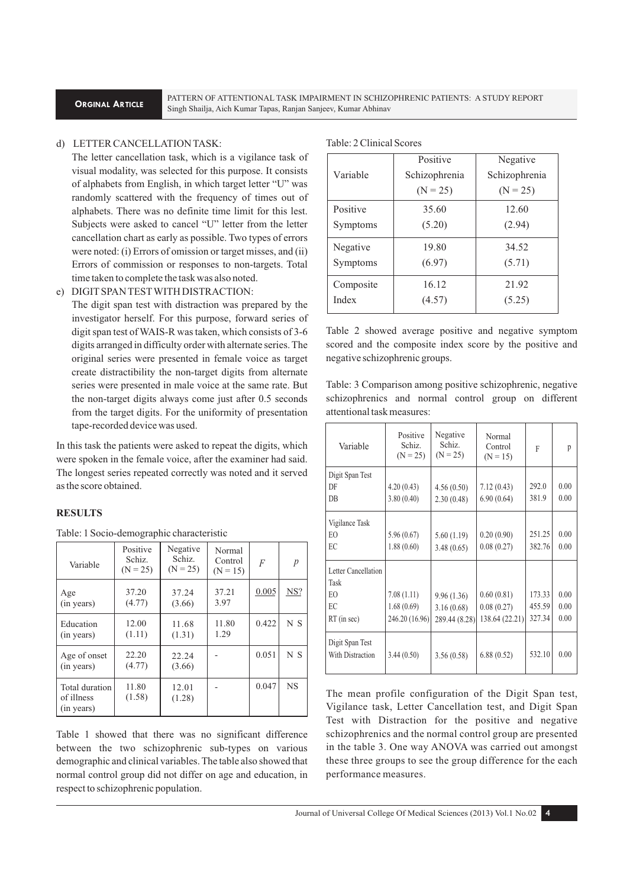PATTERN OF ATTENTIONAL TASK IMPAIRMENT IN SCHIZOPHRENIC PATIENTS: A STUDY REPORT Singh Shailja, Aich Kumar Tapas, Ranjan Sanjeev, Kumar Abhinav

## d) LETTER CANCELLATION TASK:

The letter cancellation task, which is a vigilance task of visual modality, was selected for this purpose. It consists of alphabets from English, in which target letter "U" was randomly scattered with the frequency of times out of alphabets. There was no definite time limit for this lest. Subjects were asked to cancel "U" letter from the letter cancellation chart as early as possible. Two types of errors were noted: (i) Errors of omission or target misses, and (ii) Errors of commission or responses to non-targets. Total time taken to complete the task was also noted.

#### e) DIGIT SPAN TEST WITH DISTRACTION:

The digit span test with distraction was prepared by the investigator herself. For this purpose, forward series of digit span test of WAIS-R was taken, which consists of 3-6 digits arranged in difficulty order with alternate series. The original series were presented in female voice as target create distractibility the non-target digits from alternate series were presented in male voice at the same rate. But the non-target digits always come just after 0.5 seconds from the target digits. For the uniformity of presentation tape-recorded device was used.

In this task the patients were asked to repeat the digits, which were spoken in the female voice, after the examiner had said. The longest series repeated correctly was noted and it served as the score obtained.

# **RESULTS**

| Table: 1 Socio-demographic characteristic |  |
|-------------------------------------------|--|
|-------------------------------------------|--|

| Variable                                   | Positive<br>Schiz.<br>$(N = 25)$ | Negative<br>Schiz.<br>$(N = 25)$ | Normal<br>Control<br>$(N = 15)$ | F     | p         |
|--------------------------------------------|----------------------------------|----------------------------------|---------------------------------|-------|-----------|
| Age<br>(in years)                          | 37.20<br>(4.77)                  | 37.24<br>(3.66)                  | 37.21<br>3.97                   | 0.005 | NS?       |
| Education<br>(in years)                    | 12.00<br>(1.11)                  | 11.68<br>(1.31)                  | 11.80<br>1.29                   | 0.422 | N S       |
| Age of onset<br>(in years)                 | 22.20<br>(4.77)                  | 22.24<br>(3.66)                  |                                 | 0.051 | N S       |
| Total duration<br>of illness<br>(in years) | 11.80<br>(1.58)                  | 12.01<br>(1.28)                  |                                 | 0.047 | <b>NS</b> |

Table 1 showed that there was no significant difference between the two schizophrenic sub-types on various demographic and clinical variables. The table also showed that normal control group did not differ on age and education, in respect to schizophrenic population.

| Table: 2 Clinical Scores |  |  |
|--------------------------|--|--|
|--------------------------|--|--|

|           | Positive      | Negative      |
|-----------|---------------|---------------|
| Variable  | Schizophrenia | Schizophrenia |
|           | $(N = 25)$    | $(N = 25)$    |
| Positive  | 35.60         | 12.60         |
| Symptoms  | (5.20)        | (2.94)        |
| Negative  | 19.80         | 34.52         |
| Symptoms  | (6.97)        | (5.71)        |
| Composite | 16.12         | 21.92         |
| Index     | (4.57)        | (5.25)        |

Table 2 showed average positive and negative symptom scored and the composite index score by the positive and negative schizophrenic groups.

Table: 3 Comparison among positive schizophrenic, negative schizophrenics and normal control group on different attentional task measures:

| Variable                            | Positive<br>Schiz.<br>$(N = 25)$ | Negative<br>Schiz.<br>$(N = 25)$ | Normal<br>Control<br>$(N = 15)$ | F      | p    |
|-------------------------------------|----------------------------------|----------------------------------|---------------------------------|--------|------|
| Digit Span Test                     |                                  |                                  |                                 |        |      |
| DF                                  | 4.20(0.43)                       | 4.56(0.50)                       | 7.12(0.43)                      | 292.0  | 0.00 |
| <b>DB</b>                           | 3.80(0.40)                       | 2.30(0.48)                       | 6.90(0.64)                      | 381.9  | 0.00 |
| Vigilance Task                      |                                  |                                  |                                 |        |      |
| EO                                  | 5.96(0.67)                       | 5.60(1.19)                       | 0.20(0.90)                      | 251.25 | 0.00 |
| EC                                  | 1.88(0.60)                       | 3.48(0.65)                       | 0.08(0.27)                      | 382.76 | 0.00 |
| Letter Cancellation                 |                                  |                                  |                                 |        |      |
| Task                                |                                  |                                  |                                 |        |      |
| EO                                  | 7.08(1.11)                       | 9.96(1.36)                       | 0.60(0.81)                      | 173.33 | 0.00 |
| EC                                  | 1.68(0.69)                       | 3.16(0.68)                       | 0.08(0.27)                      | 455.59 | 0.00 |
| RT (in sec)                         | 246.20 (16.96)                   | 289.44 (8.28)                    | 138.64(22.21)                   | 327.34 | 0.00 |
| Digit Span Test<br>With Distraction | 3.44(0.50)                       | 3.56(0.58)                       | 6.88(0.52)                      | 532.10 | 0.00 |

The mean profile configuration of the Digit Span test, Vigilance task, Letter Cancellation test, and Digit Span Test with Distraction for the positive and negative schizophrenics and the normal control group are presented in the table 3. One way ANOVA was carried out amongst these three groups to see the group difference for the each performance measures.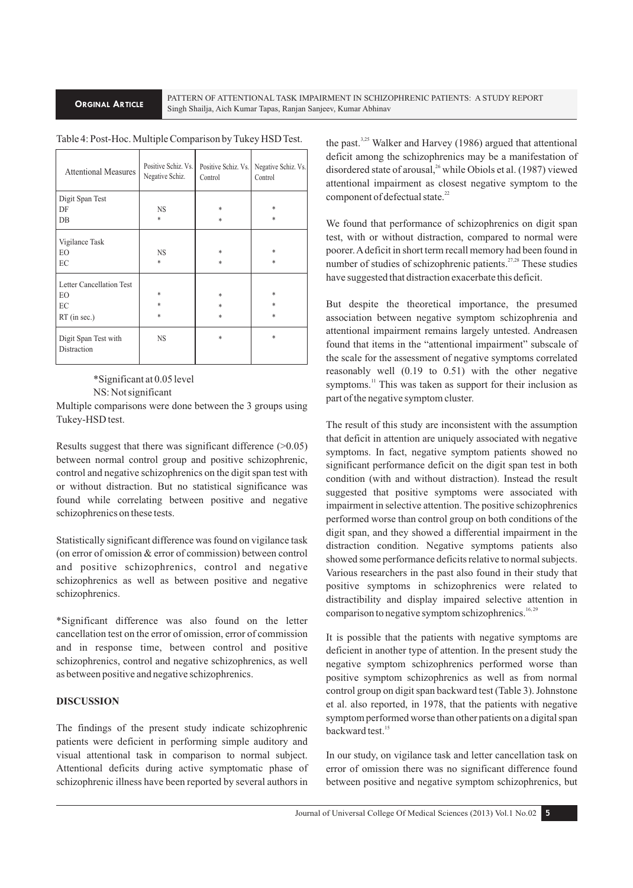PATTERN OF ATTENTIONAL TASK IMPAIRMENT IN SCHIZOPHRENIC PATIENTS: A STUDY REPORT Singh Shailja, Aich Kumar Tapas, Ranjan Sanjeev, Kumar Abhinav

Table 4: Post-Hoc. Multiple Comparison by Tukey HSD Test.

| <b>Attentional Measures</b>         | Positive Schiz. Vs.<br>Negative Schiz. | Positive Schiz. Vs.<br>Control | Negative Schiz. Vs.<br>Control |
|-------------------------------------|----------------------------------------|--------------------------------|--------------------------------|
| Digit Span Test                     |                                        |                                |                                |
| DF                                  | <b>NS</b>                              | *                              | *                              |
| $DB$                                | *                                      | $\ast$                         | $\ast$                         |
| Vigilance Task<br>EO<br>EC          | <b>NS</b><br>$\ast$                    | *<br>$\ast$                    | *<br>$\ast$                    |
| Letter Cancellation Test            |                                        |                                |                                |
| EO                                  | *                                      | $\ast$                         | $\ast$                         |
| EC                                  | $\ast$                                 | $\ast$                         | *                              |
| $RT$ (in sec.)                      | $\ast$                                 | $\ast$                         | $\ast$                         |
| Digit Span Test with<br>Distraction | <b>NS</b>                              | *                              | $\ast$                         |

\*Significant at 0.05 level NS: Not significant

Multiple comparisons were done between the 3 groups using Tukey-HSD test.

Results suggest that there was significant difference (>0.05) between normal control group and positive schizophrenic, control and negative schizophrenics on the digit span test with or without distraction. But no statistical significance was found while correlating between positive and negative schizophrenics on these tests.

Statistically significant difference was found on vigilance task (on error of omission & error of commission) between control and positive schizophrenics, control and negative schizophrenics as well as between positive and negative schizophrenics.

\*Significant difference was also found on the letter cancellation test on the error of omission, error of commission and in response time, between control and positive schizophrenics, control and negative schizophrenics, as well as between positive and negative schizophrenics.

# **DISCUSSION**

The findings of the present study indicate schizophrenic patients were deficient in performing simple auditory and visual attentional task in comparison to normal subject. Attentional deficits during active symptomatic phase of schizophrenic illness have been reported by several authors in

the past. $3,25$  Walker and Harvey (1986) argued that attentional deficit among the schizophrenics may be a manifestation of disordered state of arousal,<sup>26</sup> while Obiols et al. (1987) viewed attentional impairment as closest negative symptom to the component of defectual state.<sup>22</sup>

We found that performance of schizophrenics on digit span test, with or without distraction, compared to normal were poorer. A deficit in short term recall memory had been found in number of studies of schizophrenic patients.<sup>27,28</sup> These studies have suggested that distraction exacerbate this deficit.

But despite the theoretical importance, the presumed association between negative symptom schizophrenia and attentional impairment remains largely untested. Andreasen found that items in the "attentional impairment" subscale of the scale for the assessment of negative symptoms correlated reasonably well (0.19 to 0.51) with the other negative symptoms.<sup>11</sup> This was taken as support for their inclusion as part of the negative symptom cluster.

The result of this study are inconsistent with the assumption that deficit in attention are uniquely associated with negative symptoms. In fact, negative symptom patients showed no significant performance deficit on the digit span test in both condition (with and without distraction). Instead the result suggested that positive symptoms were associated with impairment in selective attention. The positive schizophrenics performed worse than control group on both conditions of the digit span, and they showed a differential impairment in the distraction condition. Negative symptoms patients also showed some performance deficits relative to normal subjects. Various researchers in the past also found in their study that positive symptoms in schizophrenics were related to distractibility and display impaired selective attention in comparison to negative symptom schizophrenics.<sup>16, 29</sup>

It is possible that the patients with negative symptoms are deficient in another type of attention. In the present study the negative symptom schizophrenics performed worse than positive symptom schizophrenics as well as from normal control group on digit span backward test (Table 3). Johnstone et al. also reported, in 1978, that the patients with negative symptom performed worse than other patients on a digital span backward test.<sup>15</sup>

In our study, on vigilance task and letter cancellation task on error of omission there was no significant difference found between positive and negative symptom schizophrenics, but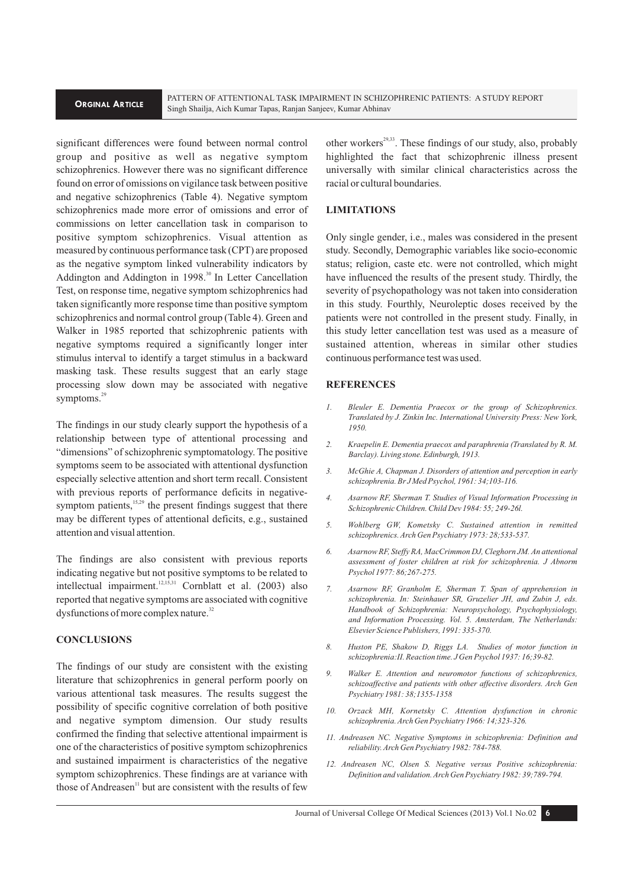PATTERN OF ATTENTIONAL TASK IMPAIRMENT IN SCHIZOPHRENIC PATIENTS: A STUDY REPORT Singh Shailja, Aich Kumar Tapas, Ranjan Sanjeev, Kumar Abhinav

significant differences were found between normal control group and positive as well as negative symptom schizophrenics. However there was no significant difference found on error of omissions on vigilance task between positive and negative schizophrenics (Table 4). Negative symptom schizophrenics made more error of omissions and error of commissions on letter cancellation task in comparison to positive symptom schizophrenics. Visual attention as measured by continuous performance task (CPT) are proposed as the negative symptom linked vulnerability indicators by Addington and Addington in 1998.<sup>30</sup> In Letter Cancellation Test, on response time, negative symptom schizophrenics had taken significantly more response time than positive symptom schizophrenics and normal control group (Table 4). Green and Walker in 1985 reported that schizophrenic patients with negative symptoms required a significantly longer inter stimulus interval to identify a target stimulus in a backward masking task. These results suggest that an early stage processing slow down may be associated with negative symptoms.<sup>29</sup>

The findings in our study clearly support the hypothesis of a relationship between type of attentional processing and "dimensions" of schizophrenic symptomatology. The positive symptoms seem to be associated with attentional dysfunction especially selective attention and short term recall. Consistent with previous reports of performance deficits in negativesymptom patients,<sup>15,29</sup> the present findings suggest that there may be different types of attentional deficits, e.g., sustained attention and visual attention.

The findings are also consistent with previous reports indicating negative but not positive symptoms to be related to intellectual impairment. <sup>12,15,31</sup> Cornblatt et al. (2003) also reported that negative symptoms are associated with cognitive dysfunctions of more complex nature.<sup>32</sup>

# **CONCLUSIONS**

The findings of our study are consistent with the existing literature that schizophrenics in general perform poorly on various attentional task measures. The results suggest the possibility of specific cognitive correlation of both positive and negative symptom dimension. Our study results confirmed the finding that selective attentional impairment is one of the characteristics of positive symptom schizophrenics and sustained impairment is characteristics of the negative symptom schizophrenics. These findings are at variance with those of Andreasen<sup>11</sup> but are consistent with the results of few

other workers<sup>29,33</sup>. These findings of our study, also, probably highlighted the fact that schizophrenic illness present universally with similar clinical characteristics across the racial or cultural boundaries.

## **LIMITATIONS**

Only single gender, i.e., males was considered in the present study. Secondly, Demographic variables like socio-economic status; religion, caste etc. were not controlled, which might have influenced the results of the present study. Thirdly, the severity of psychopathology was not taken into consideration in this study. Fourthly, Neuroleptic doses received by the patients were not controlled in the present study. Finally, in this study letter cancellation test was used as a measure of sustained attention, whereas in similar other studies continuous performance test was used.

#### **REFERENCES**

- *1. Bleuler E. Dementia Praecox or the group of Schizophrenics. Translated by J. Zinkin Inc. International University Press: New York, 1950.*
- *2. Kraepelin E. Dementia praecox and paraphrenia (Translated by R. M. Barclay). Living stone. Edinburgh, 1913.*
- *3. McGhie A, Chapman J. Disorders of attention and perception in early schizophrenia. Br J Med Psychol, 1961: 34;103-116.*
- *4. Asarnow RF, Sherman T. Studies of Visual Information Processing in Schizophrenic Children. Child Dev 1984: 55; 249-26l.*
- *5. Wohlberg GW, Kometsky C. Sustained attention in remitted schizophrenics. Arch Gen Psychiatry 1973: 28;533-537.*
- *6. Asarnow RF, Steffy RA, MacCrimmon DJ, Cleghorn JM. An attentional assessment of foster children at risk for schizophrenia. J Abnorm Psychol 1977: 86;267-275.*
- *7. Asarnow RF, Granholm E, Sherman T. Span of apprehension in schizophrenia. In: Steinhauer SR, Gruzelier JH, and Zubin J, eds. Handbook of Schizophrenia: Neuropsychology, Psychophysiology, and Information Processing. Vol. 5. Amsterdam, The Netherlands: Elsevier Science Publishers, 1991: 335-370.*
- *8. Huston PE, Shakow D, Riggs LA. Studies of motor function in schizophrenia:II. Reaction time. J Gen Psychol 1937: 16;39-82.*
- *9. Walker E. Attention and neuromotor functions of schizophrenics, schizoaffective and patients with other affective disorders. Arch Gen Psychiatry 1981: 38;1355-1358*
- *10. Orzack MH, Kornetsky C. Attention dysfunction in chronic schizophrenia. Arch Gen Psychiatry 1966: 14;323-326.*
- *11. Andreasen NC. Negative Symptoms in schizophrenia: Definition and reliability. Arch Gen Psychiatry 1982: 784-788.*
- *12. Andreasen NC, Olsen S. Negative versus Positive schizophrenia: Definition and validation. Arch Gen Psychiatry 1982: 39;789-794.*